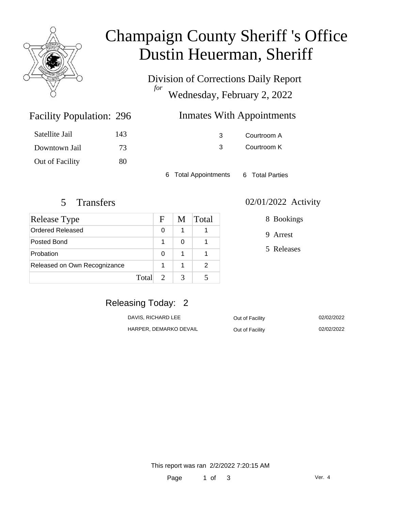

# Champaign County Sheriff 's Office Dustin Heuerman, Sheriff

Division of Corrections Daily Report *for* Wednesday, February 2, 2022

| 296 | <b>Inmates With Appointments</b> |
|-----|----------------------------------|
|-----|----------------------------------|

| Satellite Jail  | 143 |
|-----------------|-----|
| Downtown Jail   | 73  |
| Out of Facility | 80  |

Facility Population: 296

3 Courtroom A 3 Courtroom K

6 Total Appointments 6 Total Parties

| Release Type                 |       | F | M | Total |
|------------------------------|-------|---|---|-------|
| Ordered Released             |       | O |   |       |
| Posted Bond                  |       |   |   |       |
| Probation                    |       | O | 1 |       |
| Released on Own Recognizance |       |   | 1 | 2     |
|                              | Total |   |   |       |

#### 5 Transfers 02/01/2022 Activity

8 Bookings

9 Arrest

5 Releases

### Releasing Today: 2

| DAVIS, RICHARD LEE     | Out of Facility | 02/02/2022 |
|------------------------|-----------------|------------|
| HARPER. DEMARKO DEVAIL | Out of Facility | 02/02/2022 |

This report was ran 2/2/2022 7:20:15 AM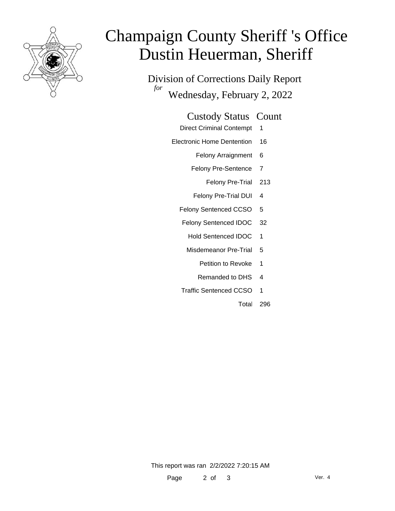

# Champaign County Sheriff 's Office Dustin Heuerman, Sheriff

Division of Corrections Daily Report *for* Wednesday, February 2, 2022

#### Custody Status Count

- Direct Criminal Contempt 1
- Electronic Home Dentention 16
	- Felony Arraignment 6
	- Felony Pre-Sentence 7
		- Felony Pre-Trial 213
	- Felony Pre-Trial DUI 4
	- Felony Sentenced CCSO 5
	- Felony Sentenced IDOC 32
		- Hold Sentenced IDOC 1
		- Misdemeanor Pre-Trial 5
			- Petition to Revoke 1
			- Remanded to DHS 4
	- Traffic Sentenced CCSO 1
		- Total 296

This report was ran 2/2/2022 7:20:15 AM